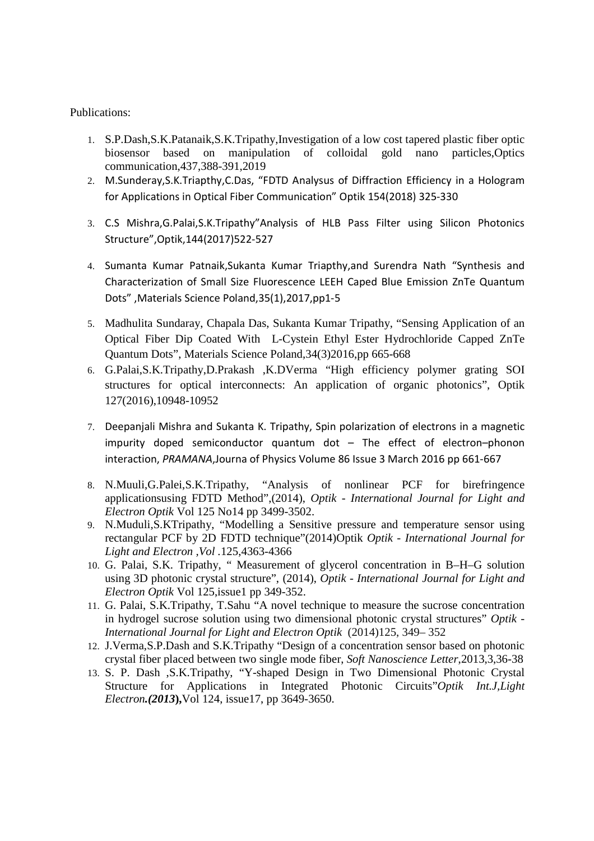## Publications:

- 1. S.P.Dash,S.K.Patanaik,S.K.Tripathy,Investigation of a low cost tapered plastic fiber optic biosensor based on manipulation of colloidal gold nano particles,Optics communication,437,388-391,2019
- 2. M.Sunderay,S.K.Triapthy,C.Das, "FDTD Analysus of Diffraction Efficiency in a Hologram for Applications in Optical Fiber Communication" Optik 154(2018) 325-330
- 3. C.S Mishra,G.Palai,S.K.Tripathy"Analysis of HLB Pass Filter using Silicon Photonics Structure",Optik,144(2017)522-527
- 4. Sumanta Kumar Patnaik,Sukanta Kumar Triapthy,and Surendra Nath "Synthesis and Characterization of Small Size Fluorescence LEEH Caped Blue Emission ZnTe Quantum Dots" ,Materials Science Poland,35(1),2017,pp1-5
- 5. Madhulita Sundaray, Chapala Das, Sukanta Kumar Tripathy, "Sensing Application of an Optical Fiber Dip Coated With L-Cystein Ethyl Ester Hydrochloride Capped ZnTe Quantum Dots", Materials Science Poland,34(3)2016,pp 665-668
- 6. G.Palai,S.K.Tripathy,D.Prakash ,K.DVerma "High efficiency polymer grating SOI structures for optical interconnects: An application of organic photonics", Optik 127(2016),10948-10952
- 7. Deepanjali Mishra and Sukanta K. Tripathy, Spin polarization of electrons in a magnetic impurity doped semiconductor quantum dot – The effect of electron–phonon interaction, *PRAMANA*,Journa of Physics Volume 86 Issue 3 March 2016 pp 661-667
- 8. N.Muuli,G.Palei,S.K.Tripathy, "Analysis of nonlinear PCF for birefringence applicationsusing FDTD Method",(2014), *Optik - International Journal for Light and Electron Optik* Vol 125 No14 pp 3499-3502.
- 9. N.Muduli,S.KTripathy, "Modelling a Sensitive pressure and temperature sensor using rectangular PCF by 2D FDTD technique"(2014)Optik *Optik - International Journal for Light and Electron ,Vol .*125,4363-4366
- 10. G. Palai, S.K. Tripathy, " Measurement of glycerol concentration in B–H–G solution using 3D photonic crystal structure", (2014), *Optik - International Journal for Light and Electron Optik* Vol 125,issue1 pp 349-352.
- 11. G. Palai, S.K.Tripathy, T.Sahu "A novel technique to measure the sucrose concentration in hydrogel sucrose solution using two dimensional photonic crystal structures" *Optik - International Journal for Light and Electron Optik* (2014)125, 349– 352
- 12. J.Verma,S.P.Dash and S.K.Tripathy "Design of a concentration sensor based on photonic crystal fiber placed between two single mode fiber, *Soft Nanoscience Letter*,2013,3,36-38
- 13. S. P. Dash ,S.K.Tripathy, "Y-shaped Design in Two Dimensional Photonic Crystal Structure for Applications in Integrated Photonic Circuits"*Optik Int.J,Light Electron.(2013***),**Vol 124, issue17, pp 3649-3650.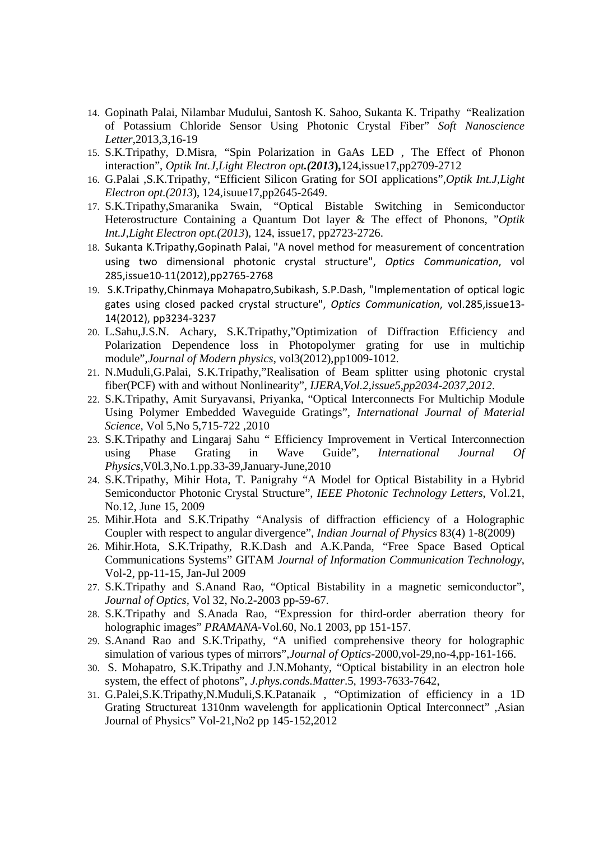- 14. Gopinath Palai, Nilambar Mudului, Santosh K. Sahoo, Sukanta K. Tripathy "Realization of Potassium Chloride Sensor Using Photonic Crystal Fiber" *Soft Nanoscience Letter*,2013,3,16-19
- 15. S.K.Tripathy, D.Misra, "Spin Polarization in GaAs LED , The Effect of Phonon interaction", *Optik Int.J,Light Electron opt.(2013***),**124,issue17,pp2709-2712
- 16. G.Palai ,S.K.Tripathy, "Efficient Silicon Grating for SOI applications",*Optik Int.J,Light Electron opt.(2013*), 124,isuue17,pp2645-2649.
- 17. S.K.Tripathy,Smaranika Swain, "Optical Bistable Switching in Semiconductor Heterostructure Containing a Quantum Dot layer & The effect of Phonons, "*Optik Int.J,Light Electron opt.(2013*), 124, issue17, pp2723-2726.
- 18. Sukanta K.Tripathy,Gopinath Palai, "A novel method for measurement of concentration using two dimensional photonic crystal structure", *Optics Communication*, vol 285,issue10-11(2012),pp2765-2768
- 19. S.K.Tripathy,Chinmaya Mohapatro,Subikash, S.P.Dash, "Implementation of optical logic gates using closed packed crystal structure", *Optics Communication*, vol.285,issue13- 14(2012), pp3234-3237
- 20. L.Sahu,J.S.N. Achary, S.K.Tripathy,"Optimization of Diffraction Efficiency and Polarization Dependence loss in Photopolymer grating for use in multichip module",*Journal of Modern physics*, vol3(2012),pp1009-1012.
- 21. N.Muduli,G.Palai, S.K.Tripathy,"Realisation of Beam splitter using photonic crystal fiber(PCF) with and without Nonlinearity", *IJERA,Vol.2,issue5,pp2034-2037,2012*.
- 22. S.K.Tripathy, Amit Suryavansi, Priyanka, "Optical Interconnects For Multichip Module Using Polymer Embedded Waveguide Gratings", *International Journal of Material Science,* Vol 5,No 5,715-722 ,2010
- 23. S.K.Tripathy and Lingaraj Sahu " Efficiency Improvement in Vertical Interconnection using Phase Grating in Wave Guide", *International Journal Of Physics*,V0l.3,No.1.pp.33-39,January-June,2010
- 24. S.K.Tripathy, Mihir Hota, T. Panigrahy "A Model for Optical Bistability in a Hybrid Semiconductor Photonic Crystal Structure", *IEEE Photonic Technology Letters*, Vol.21, No.12, June 15, 2009
- 25. Mihir.Hota and S.K.Tripathy "Analysis of diffraction efficiency of a Holographic Coupler with respect to angular divergence", *Indian Journal of Physics* 83(4) 1-8(2009)
- 26. Mihir.Hota, S.K.Tripathy, R.K.Dash and A.K.Panda, "Free Space Based Optical Communications Systems" GITAM *Journal of Information Communication Technology*, Vol-2, pp-11-15, Jan-Jul 2009
- 27. S.K.Tripathy and S.Anand Rao, "Optical Bistability in a magnetic semiconductor", *Journal of Optics,* Vol 32, No.2-2003 pp-59-67.
- 28. S.K.Tripathy and S.Anada Rao, "Expression for third-order aberration theory for holographic images" *PRAMANA*-Vol.60, No.1 2003, pp 151-157.
- 29. S.Anand Rao and S.K.Tripathy, "A unified comprehensive theory for holographic simulation of various types of mirrors",*Journal of Optics*-2000,vol-29,no-4,pp-161-166.
- 30. S. Mohapatro, S.K.Tripathy and J.N.Mohanty, "Optical bistability in an electron hole system, the effect of photons", *J.phys.conds.Matter*.5, 1993-7633-7642,
- 31. G.Palei,S.K.Tripathy,N.Muduli,S.K.Patanaik , "Optimization of efficiency in a 1D Grating Structureat 1310nm wavelength for applicationin Optical Interconnect" ,Asian Journal of Physics" Vol-21,No2 pp 145-152,2012